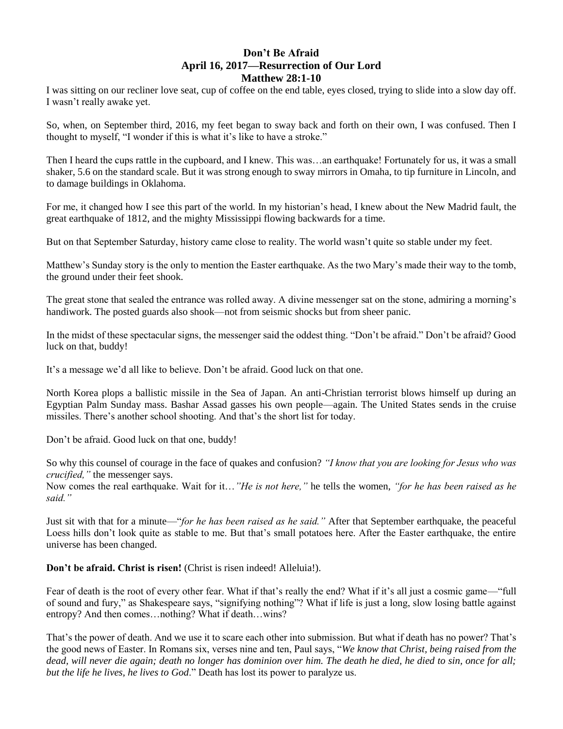## **Don't Be Afraid April 16, 2017—Resurrection of Our Lord Matthew 28:1-10**

I was sitting on our recliner love seat, cup of coffee on the end table, eyes closed, trying to slide into a slow day off. I wasn't really awake yet.

So, when, on September third, 2016, my feet began to sway back and forth on their own, I was confused. Then I thought to myself, "I wonder if this is what it's like to have a stroke."

Then I heard the cups rattle in the cupboard, and I knew. This was…an earthquake! Fortunately for us, it was a small shaker, 5.6 on the standard scale. But it was strong enough to sway mirrors in Omaha, to tip furniture in Lincoln, and to damage buildings in Oklahoma.

For me, it changed how I see this part of the world. In my historian's head, I knew about the New Madrid fault, the great earthquake of 1812, and the mighty Mississippi flowing backwards for a time.

But on that September Saturday, history came close to reality. The world wasn't quite so stable under my feet.

Matthew's Sunday story is the only to mention the Easter earthquake. As the two Mary's made their way to the tomb, the ground under their feet shook.

The great stone that sealed the entrance was rolled away. A divine messenger sat on the stone, admiring a morning's handiwork. The posted guards also shook—not from seismic shocks but from sheer panic.

In the midst of these spectacular signs, the messenger said the oddest thing. "Don't be afraid." Don't be afraid? Good luck on that, buddy!

It's a message we'd all like to believe. Don't be afraid. Good luck on that one.

North Korea plops a ballistic missile in the Sea of Japan. An anti-Christian terrorist blows himself up during an Egyptian Palm Sunday mass. Bashar Assad gasses his own people—again. The United States sends in the cruise missiles. There's another school shooting. And that's the short list for today.

Don't be afraid. Good luck on that one, buddy!

So why this counsel of courage in the face of quakes and confusion? *"I know that you are looking for Jesus who was crucified,"* the messenger says.

Now comes the real earthquake. Wait for it…*"He is not here,"* he tells the women, *"for he has been raised as he said."*

Just sit with that for a minute—"*for he has been raised as he said."* After that September earthquake, the peaceful Loess hills don't look quite as stable to me. But that's small potatoes here. After the Easter earthquake, the entire universe has been changed.

## **Don't be afraid. Christ is risen!** (Christ is risen indeed! Alleluia!).

Fear of death is the root of every other fear. What if that's really the end? What if it's all just a cosmic game—"full of sound and fury," as Shakespeare says, "signifying nothing"? What if life is just a long, slow losing battle against entropy? And then comes…nothing? What if death…wins?

That's the power of death. And we use it to scare each other into submission. But what if death has no power? That's the good news of Easter. In Romans six, verses nine and ten, Paul says, "*We know that Christ, being raised from the dead, will never die again; death no longer has dominion over him. The death he died, he died to sin, once for all; but the life he lives, he lives to God*." Death has lost its power to paralyze us.